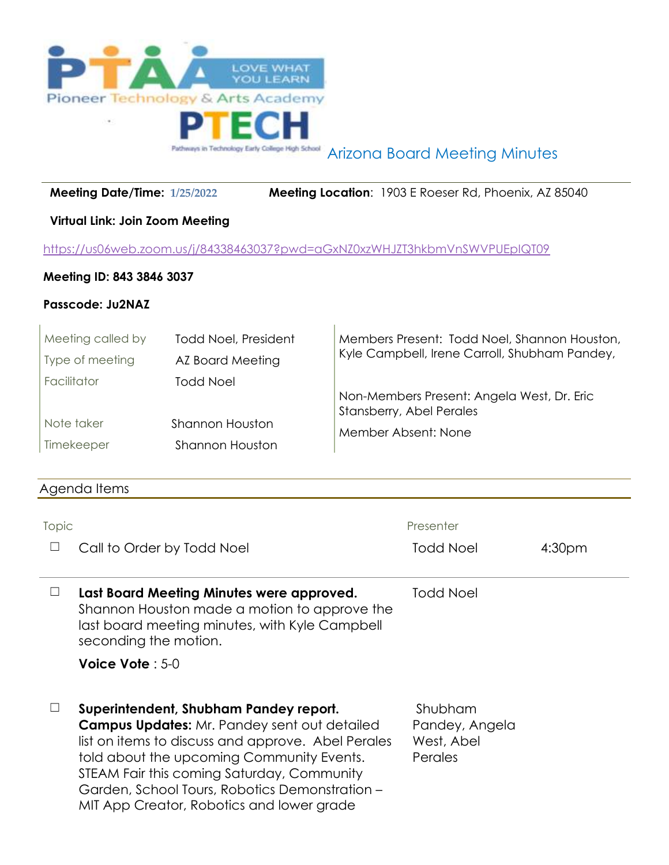

Arizona Board Meeting Minutes

 **Meeting Date/Time: 1/25/2022 Meeting Location**: 1903 E Roeser Rd, Phoenix, AZ 85040

# **Virtual Link: Join Zoom Meeting**

<https://us06web.zoom.us/j/84338463037?pwd=aGxNZ0xzWHJZT3hkbmVnSWVPUEpIQT09>

# **Meeting ID: 843 3846 3037**

### **Passcode: Ju2NAZ**

| Meeting called by | <b>Todd Noel, President</b> | Members Present: Todd Noel, Shannon Houston,<br>Kyle Campbell, Irene Carroll, Shubham Pandey, |
|-------------------|-----------------------------|-----------------------------------------------------------------------------------------------|
| Type of meeting   | AZ Board Meeting            |                                                                                               |
| Facilitator       | <b>Todd Noel</b>            |                                                                                               |
|                   |                             | Non-Members Present: Angela West, Dr. Eric<br>Stansberry, Abel Perales                        |
| Note taker        | Shannon Houston             | Member Absent: None                                                                           |
| Timekeeper        | <b>Shannon Houston</b>      |                                                                                               |

# Agenda Items

| Topic                                | Presenter        |                    |  |
|--------------------------------------|------------------|--------------------|--|
| $\Box$<br>Call to Order by Todd Noel | <b>Todd Noel</b> | 4:30 <sub>pm</sub> |  |
|                                      |                  |                    |  |

☐ **Last Board Meeting Minutes were approved.** Shannon Houston made a motion to approve the last board meeting minutes, with Kyle Campbell seconding the motion. Todd Noel

### **Voice Vote** : 5-0

☐ **Superintendent, Shubham Pandey report. Campus Updates:** Mr. Pandey sent out detailed list on items to discuss and approve. Abel Perales told about the upcoming Community Events. STEAM Fair this coming Saturday, Community Garden, School Tours, Robotics Demonstration – MIT App Creator, Robotics and lower grade

Shubham Pandey, Angela West, Abel Perales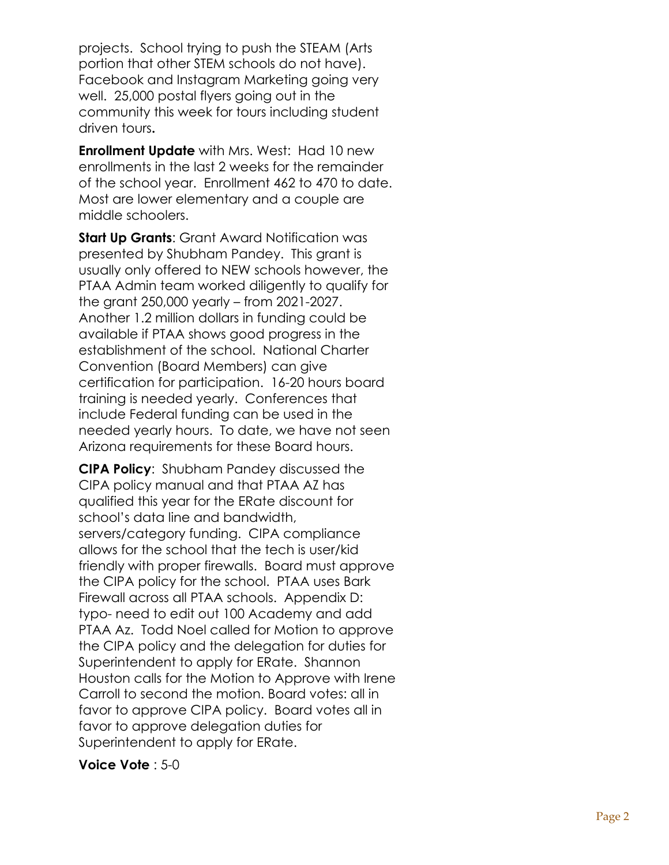projects. School trying to push the STEAM (Arts portion that other STEM schools do not have). Facebook and Instagram Marketing going very well. 25,000 postal flyers going out in the community this week for tours including student driven tours**.** 

**Enrollment Update** with Mrs. West: Had 10 new enrollments in the last 2 weeks for the remainder of the school year. Enrollment 462 to 470 to date. Most are lower elementary and a couple are middle schoolers.

**Start Up Grants**: Grant Award Notification was presented by Shubham Pandey. This grant is usually only offered to NEW schools however, the PTAA Admin team worked diligently to qualify for the grant 250,000 yearly – from 2021 -2027. Another 1.2 million dollars in funding could be available if PTAA shows good progress in the establishment of the school. National Charter Convention (Board Members) can give certification for participation. 16 -20 hours board training is needed yearly. Conferences that include Federal funding can be used in the needed yearly hours. To date, we have not seen Arizona requirements for these Board hours.

**CIPA Policy**: Shubham Pandey discussed the CIPA policy manual and that PTAA AZ has qualified this year for the ERate discount for school's data line and bandwidth, servers/category funding. CIPA compliance allows for the school that the tech is user/kid friendly with proper firewalls. Board must approve the CIPA policy for the school. PTAA uses Bark Firewall across all PTAA schools. Appendix D: typo - need to edit out 100 Academy and add PTAA Az. Todd Noel called for Motion to approve the CIPA policy and the delegation for duties for Superintendent to apply for ERate. Shannon Houston calls for the Motion to Approve with Irene Carroll to second the motion. Board votes: all in favor to approve CIPA policy. Board votes all in favor to approve delegation duties for Superintendent to apply for ERate.

### **Voice Vote**: 5-0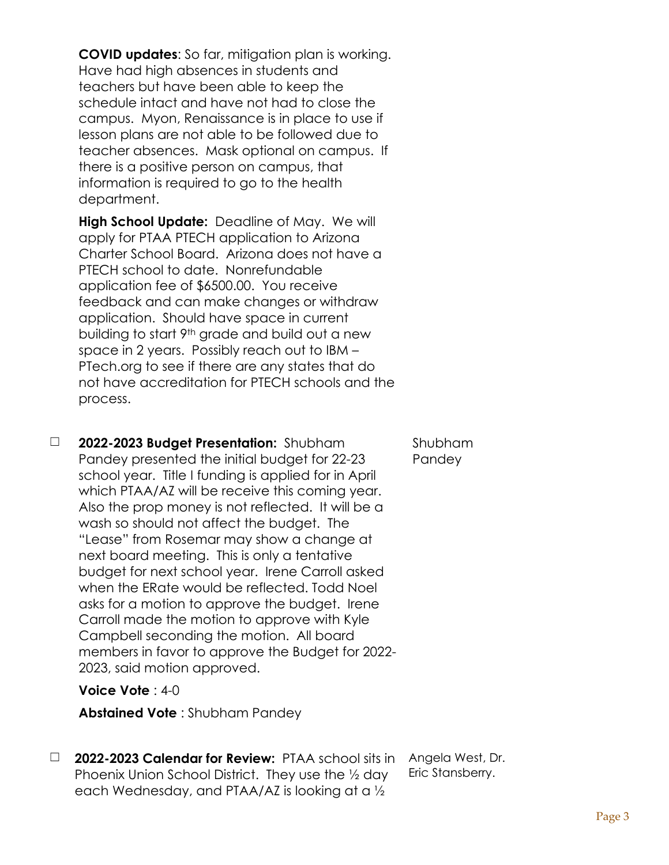**COVID updates**: So far, mitigation plan is working. Have had high absences in students and teachers but have been able to keep the schedule intact and have not had to close the campus. Myon, Renaissance is in place to use if lesson plans are not able to be followed due to teacher absences. Mask optional on campus. If there is a positive person on campus, that information is required to go to the health department.

**High School Update:** Deadline of May. We will apply for PTAA PTECH application to Arizona Charter School Board. Arizona does not have a PTECH school to date. Nonrefundable application fee of \$6500.00. You receive feedback and can make changes or withdraw application. Should have space in current building to start 9th grade and build out a new space in 2 years. Possibly reach out to IBM – PTech.org to see if there are any states that do not have accreditation for PTECH schools and the process.

☐ **2022-2023 Budget Presentation:** Shubham Pandey presented the initial budget for 22-23 school year. Title I funding is applied for in April which PTAA/AZ will be receive this coming year. Also the prop money is not reflected. It will be a wash so should not affect the budget. The "Lease" from Rosemar may show a change at next board meeting. This is only a tentative budget for next school year. Irene Carroll asked when the ERate would be reflected. Todd Noel asks for a motion to approve the budget. Irene Carroll made the motion to approve with Kyle Campbell seconding the motion. All board members in favor to approve the Budget for 2022- 2023, said motion approved.

### **Voice Vote** : 4-0

**Abstained Vote** : Shubham Pandey

☐ **2022-2023 Calendar for Review:** PTAA school sits in Phoenix Union School District. They use the ½ day each Wednesday, and PTAA/AZ is looking at a ½

Angela West, Dr. Eric Stansberry.

Shubham Pandey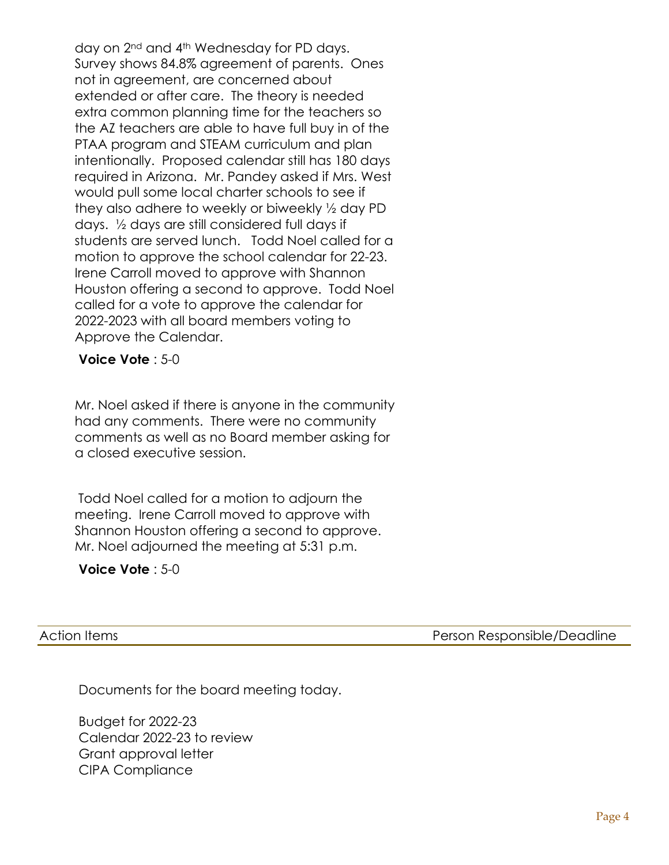day on 2nd and 4th Wednesday for PD days. Survey shows 84.8% agreement of parents. Ones not in agreement, are concerned about extended or after care. The theory is needed extra common planning time for the teachers so the AZ teachers are able to have full buy in of the PTAA program and STEAM curriculum and plan intentionally. Proposed calendar still has 180 days required in Arizona. Mr. Pandey asked if Mrs. West would pull some local charter schools to see if they also adhere to weekly or biweekly ½ day PD days. ½ days are still considered full days if students are served lunch. Todd Noel called for a motion to approve the school calendar for 22-23. Irene Carroll moved to approve with Shannon Houston offering a second to approve. Todd Noel called for a vote to approve the calendar for 2022-2023 with all board members voting to Approve the Calendar.

**Voice Vote** : 5-0

Mr. Noel asked if there is anyone in the community had any comments. There were no community comments as well as no Board member asking for a closed executive session.

Todd Noel called for a motion to adjourn the meeting. Irene Carroll moved to approve with Shannon Houston offering a second to approve. Mr. Noel adjourned the meeting at 5:31 p.m.

### **Voice Vote** : 5-0

Action Items **Person Responsible/Deadline** 

Documents for the board meeting today.

Budget for 2022-23 Calendar 2022-23 to review Grant approval letter CIPA Compliance